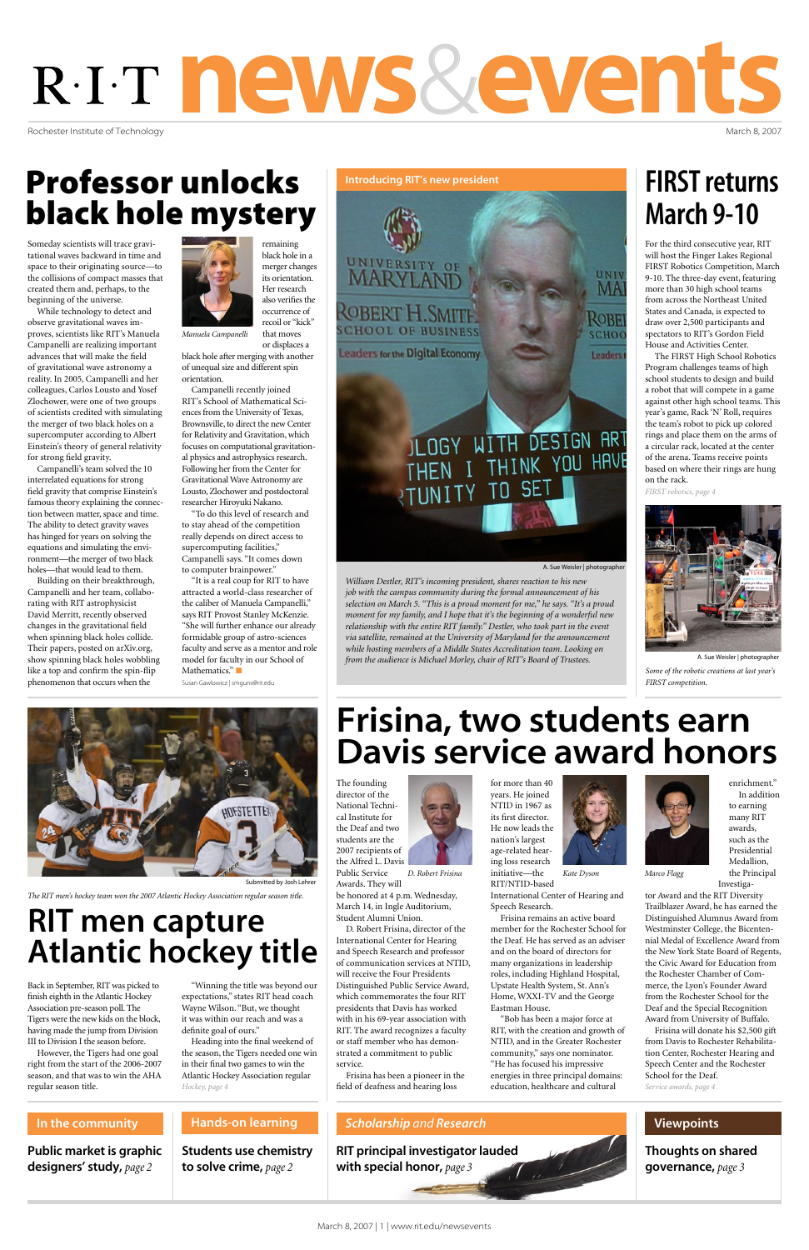Rochester Institute of Technology

# news&events

March 8, 2007

#### *Scholarship and Research*

Students use chemistry to solve crime, *page 2*

RIT principal investigator lauded<br>with special honor, page 3 with special honor, *page 3*

#### Hands-on learning

Public market is graphic designers' study, *page 2*

#### In the community

Thoughts on shared governance, *page 3*

#### Viewpoints

# Professor unlocks black hole mystery

# Frisina, two students earn Davis service award honors

## FIRST returns March 9-10

Someday scientists will trace gravitational waves backward in time and space to their originating source—to the collisions of compact masses that created them and, perhaps, to the beginning of the universe.

While technology to detect and observe gravitational waves improves, scientists like RIT's Manuela Campanelli are realizing important advances that will make the field of gravitational wave astronomy a reality. In 2005, Campanelli and her colleagues, Carlos Lousto and Yosef Zlochower, were one of two groups of scientists credited with simulating the merger of two black holes on a supercomputer according to Albert Einstein's theory of general relativity for strong field gravity.

> "It is a real coup for RIT to have attracted a world-class researcher of the caliber of Manuela Campanelli," says RIT Provost Stanley McKenzie. "She will further enhance our already formidable group of astro-sciences faculty and serve as a mentor and role model for faculty in our School of Mathematics."

Campanelli's team solved the 10 interrelated equations for strong field gravity that comprise Einstein's famous theory explaining the connection between matter, space and time. The ability to detect gravity waves has hinged for years on solving the equations and simulating the environment—the merger of two black holes—that would lead to them.

Building on their breakthrough, Campanelli and her team, collaborating with RIT astrophysicist David Merritt, recently observed changes in the gravitational field when spinning black holes collide. Their papers, posted on arXiv.org, show spinning black holes wobbling like a top and confirm the spin-flip phenomenon that occurs when the



remaining black hole in a merger changes its orientation. Her research also verifies the occurrence of recoil or "kick"

or displaces a black hole after merging with another of unequal size and different spin orientation.

Campanelli recently joined RIT's School of Mathematical Sciences from the University of Texas, Brownsville, to direct the new Center for Relativity and Gravitation, which focuses on computational gravitational physics and astrophysics research. Following her from the Center for Gravitational Wave Astronomy are Lousto, Zlochower and postdoctoral researcher Hiroyuki Nakano.

"To do this level of research and to stay ahead of the competition really depends on direct access to supercomputing facilities," Campanelli says. "It comes down to computer brainpower."

Susan Gawlowicz | smguns@rit.edu



The founding director of the National Technical Institute for the Deaf and two students are the 2007 recipients of the Alfred L. Davis Public Service Awards. They will



be honored at 4 p.m. Wednesday, March 14, in Ingle Auditorium, Student Alumni Union.

D. Robert Frisina, director of the International Center for Hearing and Speech Research and professor of communication services at NTID, will receive the Four Presidents Distinguished Public Service Award, which commemorates the four RIT presidents that Davis has worked with in his 69-year association with RIT. The award recognizes a faculty or staff member who has demonstrated a commitment to public service.

Frisina has been a pioneer in the

for more than 40 years. He joined NTID in 1967 as its first director.

He now leads the nation's largest age-related hearing loss research initiative—the RIT/NTID-based



International Center of Hearing and Speech Research.

field of deafness and hearing loss *Hockey, page 4 Service awards, page 4* "Bob has been a major force at RIT, with the creation and growth of NTID, and in the Greater Rochester community," says one nominator. "He has focused his impressive energies in three principal domains: education, healthcare and cultural

Frisina remains an active board member for the Rochester School for the Deaf. He has served as an adviser and on the board of directors for many organizations in leadership roles, including Highland Hospital, Upstate Health System, St. Ann's Home, WXXI-TV and the George Eastman House.

enrichment." In addition to earning many RIT awards, such as the Presidential Medallion, the Principal

Investigator Award and the RIT Diversity

Trailblazer Award, he has earned the

that moves *Manuela Campanelli*

Distinguished Alumnus Award from Westminster College, the Bicentennial Medal of Excellence Award from the New York State Board of Regents, the Civic Award for Education from the Rochester Chamber of Commerce, the Lyon's Founder Award from the Rochester School for the Deaf and the Special Recognition Award from University of Buffalo.

Frisina will donate his \$2,500 gift from Davis to Rochester Rehabilitation Center, Rochester Hearing and Speech Center and the Rochester School for the Deaf.

For the third consecutive year, RIT will host the Finger Lakes Regional FIRST Robotics Competition, March 9-10. The three-day event, featuring more than 30 high school teams from across the Northeast United States and Canada, is expected to draw over 2,500 participants and spectators to RIT's Gordon Field House and Activities Center.

The FIRST High School Robotics Program challenges teams of high school students to design and build a robot that will compete in a game against other high school teams. This year's game, Rack 'N' Roll, requires the team's robot to pick up colored rings and place them on the arms of a circular rack, located at the center of the arena. Teams receive points based on where their rings are hung on the rack.



*Some of the robotic creations at last year's FIRST competition.*  A. Sue Weisler | photographer

## RIT men capture Atlantic hockey title

Back in September, RIT was picked to finish eighth in the Atlantic Hockey Association pre-season poll. The Tigers were the new kids on the block, having made the jump from Division III to Division I the season before.

However, the Tigers had one goal right from the start of the 2006-2007 season, and that was to win the AHA regular season title.

"Winning the title was beyond our expectations," states RIT head coach Wayne Wilson. "But, we thought it was within our reach and was a definite goal of ours."

Heading into the final weekend of the season, the Tigers needed one win in their final two games to win the Atlantic Hockey Association regular

*D. Robert Frisina*

Introducing RIT's new president



*The RIT men's hockey team won the 2007 Atlantic Hockey Association regular season title.*

*William Destler, RIT's incoming president, shares reaction to his new job with the campus community during the formal announcement of his selection on March 5. "This is a proud moment for me," he says. "It's a proud moment for my family, and I hope that it's the beginning of a wonderful new relationship with the entire RIT family." Destler, who took part in the event via satellite, remained at the University of Maryland for the announcement while hosting members of a Middle States Accreditation team. Looking on from the audience is Michael Morley, chair of RIT's Board of Trustees.*

A. Sue Weisler | photographer

*Kate Dyson Marco Flagg*

*FIRST robotics, page 4*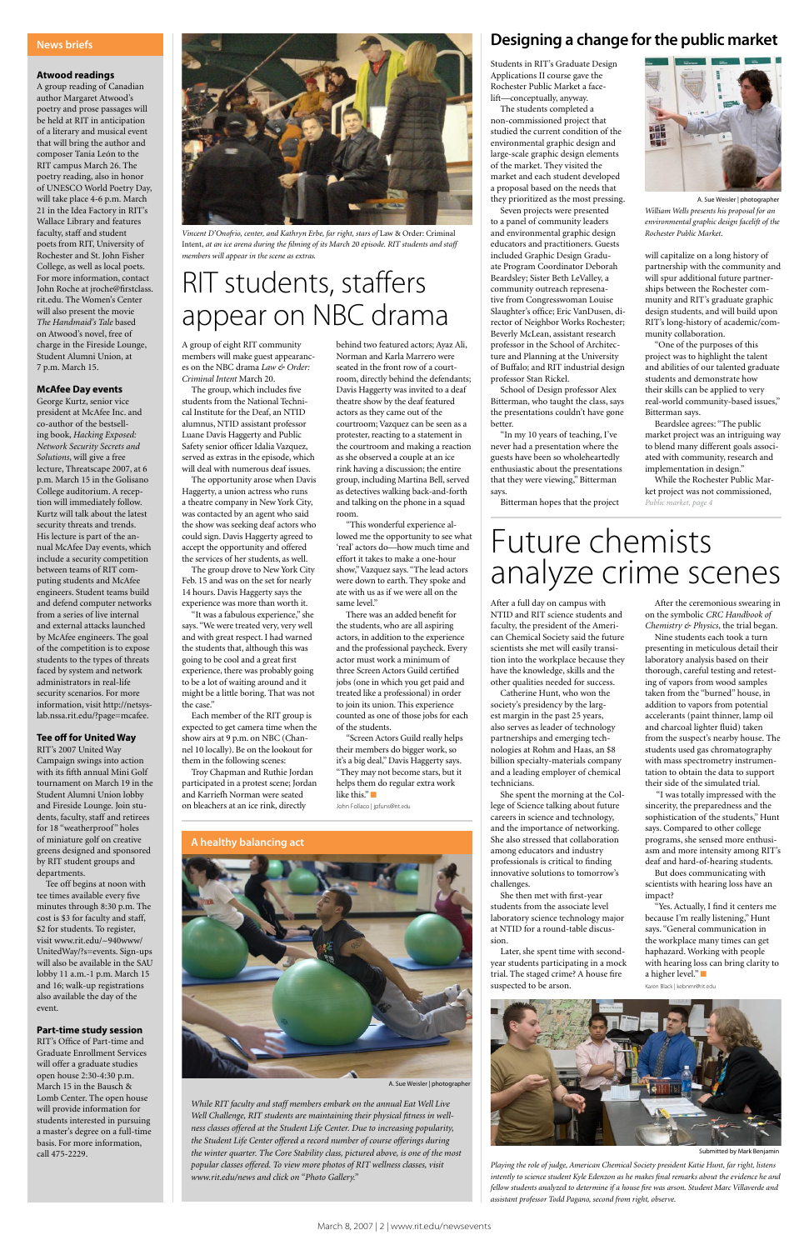#### **Atwood readings**

A group reading of Canadian author Margaret Atwood's poetry and prose passages will be held at RIT in anticipation of a literary and musical event that will bring the author and composer Tania León to the RIT campus March 26. The poetry reading, also in honor of UNESCO World Poetry Day, will take place 4-6 p.m. March 21 in the Idea Factory in RIT's Wallace Library and features faculty, staff and student poets from RIT, University of Rochester and St. John Fisher College, as well as local poets. For more information, contact John Roche at jroche@firstclass. rit.edu. The Women's Center will also present the movie *The Handmaid's Tale* based on Atwood's novel, free of charge in the Fireside Lounge, Student Alumni Union, at 7 p.m. March 15.

#### **McAfee Day events**

George Kurtz, senior vice president at McAfee Inc. and co-author of the bestselling book, *Hacking Exposed: Network Security Secrets and Solutions*, will give a free lecture, Threatscape 2007, at 6 p.m. March 15 in the Golisano College auditorium. A reception will immediately follow. Kurtz will talk about the latest security threats and trends. His lecture is part of the annual McAfee Day events, which include a security competition between teams of RIT computing students and McAfee engineers. Student teams build and defend computer networks from a series of live internal and external attacks launched by McAfee engineers. The goal of the competition is to expose students to the types of threats faced by system and network administrators in real-life security scenarios. For more information, visit http://netsyslab.nssa.rit.edu/?page=mcafee.

#### **Tee off for United Way**

RIT's 2007 United Way Campaign swings into action with its fifth annual Mini Golf tournament on March 19 in the Student Alumni Union lobby and Fireside Lounge. Join students, faculty, staff and retirees for 18 "weatherproof" holes of miniature golf on creative greens designed and sponsored by RIT student groups and departments.

Tee off begins at noon with tee times available every five minutes through 8:30 p.m. The cost is \$3 for faculty and staff, \$2 for students. To register, visit www.rit.edu/~940www/ UnitedWay/?s=events. Sign-ups will also be available in the SAU lobby 11 a.m.-1 p.m. March 15 and 16; walk-up registrations also available the day of the event.

#### **Part-time study session**

RIT's Office of Part-time and Graduate Enrollment Services will offer a graduate studies open house 2:30-4:30 p.m. March 15 in the Bausch & Lomb Center. The open house will provide information for students interested in pursuing a master's degree on a full-time basis. For more information, call 475-2229.

#### News briefs

A group of eight RIT community members will make guest appearances on the NBC drama *Law & Order: Criminal Intent* March 20.

The group, which includes five students from the National Technical Institute for the Deaf, an NTID alumnus, NTID assistant professor Luane Davis Haggerty and Public Safety senior officer Idalia Vazquez, served as extras in the episode, which will deal with numerous deaf issues.

The opportunity arose when Davis Haggerty, a union actress who runs a theatre company in New York City, was contacted by an agent who said the show was seeking deaf actors who could sign. Davis Haggerty agreed to accept the opportunity and offered the services of her students, as well.

The group drove to New York City Feb. 15 and was on the set for nearly 14 hours. Davis Haggerty says the experience was more than worth it.

"It was a fabulous experience," she says. "We were treated very, very well and with great respect. I had warned the students that, although this was going to be cool and a great first experience, there was probably going to be a lot of waiting around and it might be a little boring. That was not the case."

Each member of the RIT group is expected to get camera time when the show airs at 9 p.m. on NBC (Channel 10 locally). Be on the lookout for them in the following scenes:

Troy Chapman and Ruthie Jordan participated in a protest scene; Jordan and Karriefh Norman were seated on bleachers at an ice rink, directly

behind two featured actors; Ayaz Ali, Norman and Karla Marrero were seated in the front row of a courtroom, directly behind the defendants; Davis Haggerty was invited to a deaf theatre show by the deaf featured actors as they came out of the courtroom; Vazquez can be seen as a protester, reacting to a statement in the courtroom and making a reaction as she observed a couple at an ice rink having a discussion; the entire group, including Martina Bell, served as detectives walking back-and-forth and talking on the phone in a squad room.

"This wonderful experience allowed me the opportunity to see what 'real' actors do—how much time and effort it takes to make a one-hour show," Vazquez says. "The lead actors were down to earth. They spoke and ate with us as if we were all on the same level."

There was an added benefit for the students, who are all aspiring actors, in addition to the experience and the professional paycheck. Every actor must work a minimum of three Screen Actors Guild certified jobs (one in which you get paid and treated like a professional) in order to join its union. This experience counted as one of those jobs for each of the students.

"Screen Actors Guild really helps their members do bigger work, so it's a big deal," Davis Haggerty says. "They may not become stars, but it helps them do regular extra work like this." $\Box$ John Follaco | jpfuns@rit.edu



*Vincent D'Onofrio, center, and Kathryn Erbe, far right, stars of* Law & Order: Criminal Intent, *at an ice arena during the filming of its March 20 episode. RIT students and staff members will appear in the scene as extras.*

*While RIT faculty and staff members embark on the annual Eat Well Live Well Challenge, RIT students are maintaining their physical fitness in wellness classes offered at the Student Life Center. Due to increasing popularity, the Student Life Center offered a record number of course offerings during the winter quarter. The Core Stability class, pictured above, is one of the most popular classes offered. To view more photos of RIT wellness classes, visit www.rit.edu/news and click on "Photo Gallery."*

A healthy balancing act



A. Sue Weisler | photographer

#### Designing a change for the public market

## Future chemists analyze crime scenes

After a full day on campus with NTID and RIT science students and faculty, the president of the American Chemical Society said the future scientists she met will easily transition into the workplace because they have the knowledge, skills and the other qualities needed for success.

Catherine Hunt, who won the society's presidency by the largest margin in the past 25 years, also serves as leader of technology partnerships and emerging technologies at Rohm and Haas, an \$8 billion specialty-materials company and a leading employer of chemical technicians.

She spent the morning at the College of Science talking about future careers in science and technology, and the importance of networking. She also stressed that collaboration among educators and industry professionals is critical to finding innovative solutions to tomorrow's challenges.

She then met with first-year students from the associate level laboratory science technology major at NTID for a round-table discussion.

Later, she spent time with secondyear students participating in a mock trial. The staged crime? A house fire suspected to be arson.



After the ceremonious swearing in on the symbolic *CRC Handbook of Chemistry & Physics*, the trial began.

Nine students each took a turn presenting in meticulous detail their laboratory analysis based on their thorough, careful testing and retesting of vapors from wood samples taken from the "burned" house, in addition to vapors from potential accelerants (paint thinner, lamp oil and charcoal lighter fluid) taken from the suspect's nearby house. The students used gas chromatography with mass spectrometry instrumentation to obtain the data to support their side of the simulated trial.

 "I was totally impressed with the sincerity, the preparedness and the sophistication of the students," Hunt says. Compared to other college programs, she sensed more enthusiasm and more intensity among RIT's deaf and hard-of-hearing students.

But does communicating with scientists with hearing loss have an impact?

"Yes. Actually, I find it centers me because I'm really listening," Hunt says. "General communication in the workplace many times can get haphazard. Working with people with hearing loss can bring clarity to a higher level." $\blacksquare$ Karen Black | kebnmr@rit.edu

*Playing the role of judge, American Chemical Society president Katie Hunt, far right, listens intently to science student Kyle Edenzon as he makes final remarks about the evidence he and fellow students analyzed to determine if a house fire was arson. Student Marc Villaverde and assistant professor Todd Pagano, second from right, observe.*

#### Submitted by Mark Benjamin

Students in RIT's Graduate Design Applications II course gave the Rochester Public Market a facelift—conceptually, anyway.

The students completed a non-commissioned project that studied the current condition of the environmental graphic design and large-scale graphic design elements of the market. They visited the market and each student developed a proposal based on the needs that they prioritized as the most pressing.

Seven projects were presented to a panel of community leaders and environmental graphic design educators and practitioners. Guests included Graphic Design Graduate Program Coordinator Deborah Beardsley; Sister Beth LeValley, a community outreach represenative from Congresswoman Louise Slaughter's office; Eric VanDusen, director of Neighbor Works Rochester; Beverly McLean, assistant research professor in the School of Architecture and Planning at the University of Buffalo; and RIT industrial design professor Stan Rickel.

School of Design professor Alex Bitterman, who taught the class, says the presentations couldn't have gone better.

"In my 10 years of teaching, I've never had a presentation where the guests have been so wholeheartedly enthusiastic about the presentations that they were viewing," Bitterman says.

Bitterman hopes that the project

will capitalize on a long history of partnership with the community and will spur additional future partnerships between the Rochester community and RIT's graduate graphic design students, and will build upon RIT's long-history of academic/community collaboration.

"One of the purposes of this project was to highlight the talent and abilities of our talented graduate students and demonstrate how their skills can be applied to very real-world community-based issues," Bitterman says.

Beardslee agrees: "The public market project was an intriguing way to blend many different goals associated with community, research and implementation in design."

# RIT students, staffers appear on NBC drama

While the Rochester Public Market project was not commissioned, *Public market, page 4*



*William Wells presents his proposal for an environmental graphic design facelift of the Rochester Public Market.*  A. Sue Weisler | photographer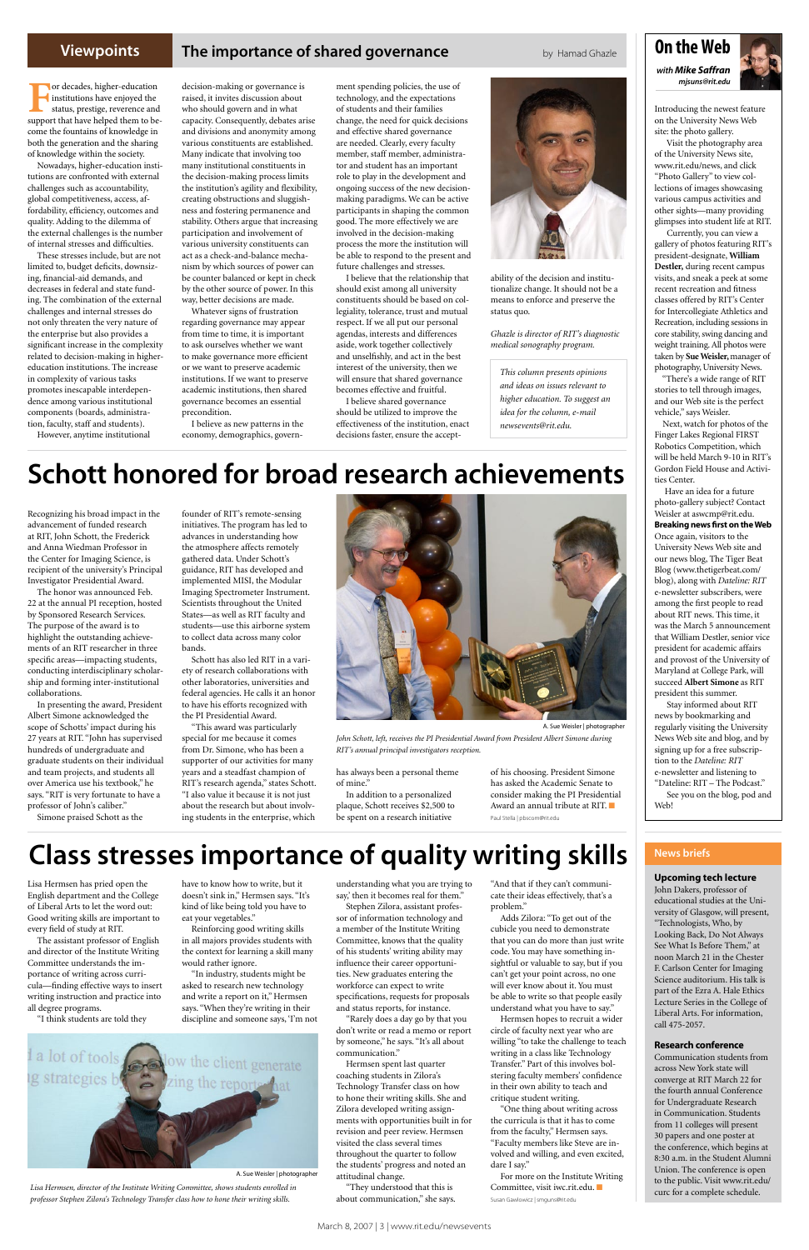#### **Viewpoints**

#### **The importance of shared governance** by Hamad Ghazle

## On the Web

*with Mike Saffran mjsuns@rit.edu*



Introducing the newest feature on the University News Web site: the photo gallery.

 Visit the photography area of the University News site, www.rit.edu/news, and click "Photo Gallery" to view collections of images showcasing various campus activities and other sights—many providing glimpses into student life at RIT.

 Currently, you can view a gallery of photos featuring RIT's president-designate, **William Destler,** during recent campus visits, and sneak a peek at some recent recreation and fitness classes offered by RIT's Center for Intercollegiate Athletics and Recreation, including sessions in core stability, swing dancing and weight training. All photos were taken by **Sue Weisler,** manager of photography, University News.

 "There's a wide range of RIT stories to tell through images, and our Web site is the perfect vehicle," says Weisler.

 Next, watch for photos of the Finger Lakes Regional FIRST Robotics Competition, which will be held March 9-10 in RIT's Gordon Field House and Activities Center.

**For decades, higher-education**<br>
institutions have enjoyed the<br>
status, prestige, reverence and<br>
support that have helped them to beinstitutions have enjoyed the status, prestige, reverence and come the fountains of knowledge in both the generation and the sharing of knowledge within the society.

> Have an idea for a future photo-gallery subject? Contact Weisler at aswcmp@rit.edu. **Breaking news first on the Web** Once again, visitors to the University News Web site and our news blog, The Tiger Beat Blog (www.thetigerbeat.com/ blog), along with *Dateline: RIT* e-newsletter subscribers, were among the first people to read about RIT news. This time, it was the March 5 announcement that William Destler, senior vice president for academic affairs and provost of the University of Maryland at College Park, will succeed **Albert Simone** as RIT president this summer.

 Stay informed about RIT news by bookmarking and regularly visiting the University News Web site and blog, and by signing up for a free subscription to the *Dateline: RIT* e-newsletter and listening to "Dateline: RIT – The Podcast."

 See you on the blog, pod and Web!

Nowadays, higher-education institutions are confronted with external challenges such as accountability, global competitiveness, access, affordability, efficiency, outcomes and quality. Adding to the dilemma of the external challenges is the number of internal stresses and difficulties.

These stresses include, but are not limited to, budget deficits, downsizing, financial-aid demands, and decreases in federal and state funding. The combination of the external challenges and internal stresses do not only threaten the very nature of the enterprise but also provides a significant increase in the complexity related to decision-making in highereducation institutions. The increase in complexity of various tasks promotes inescapable interdependence among various institutional components (boards, administration, faculty, staff and students).

However, anytime institutional

decision-making or governance is raised, it invites discussion about who should govern and in what capacity. Consequently, debates arise and divisions and anonymity among various constituents are established. Many indicate that involving too many institutional constituents in the decision-making process limits the institution's agility and flexibility, creating obstructions and sluggishness and fostering permanence and stability. Others argue that increasing participation and involvement of various university constituents can act as a check-and-balance mechanism by which sources of power can be counter balanced or kept in check by the other source of power. In this way, better decisions are made.

Whatever signs of frustration regarding governance may appear from time to time, it is important to ask ourselves whether we want to make governance more efficient or we want to preserve academic institutions. If we want to preserve academic institutions, then shared governance becomes an essential precondition.

I believe as new patterns in the economy, demographics, govern-

ment spending policies, the use of technology, and the expectations of students and their families change, the need for quick decisions and effective shared governance are needed. Clearly, every faculty member, staff member, administrator and student has an important role to play in the development and ongoing success of the new decisionmaking paradigms. We can be active participants in shaping the common good. The more effectively we are involved in the decision-making process the more the institution will be able to respond to the present and future challenges and stresses.

Good writing skills are impor every field of study at RIT.

I believe that the relationship that should exist among all university constituents should be based on collegiality, tolerance, trust and mutual respect. If we all put our personal agendas, interests and differences aside, work together collectively and unselfishly, and act in the best interest of the university, then we will ensure that shared governance becomes effective and fruitful.

I believe shared governance should be utilized to improve the effectiveness of the institution, enact decisions faster, ensure the accept-



ability of the decision and institutionalize change. It should not be a means to enforce and preserve the status quo.

*Ghazle is director of RIT's diagnostic medical sonography program.* 

#### **Upcoming tech lecture**

John Dakers, professor of educational studies at the University of Glasgow, will present,

"Technologists, Who, by Looking Back, Do Not Always See What Is Before Them," at noon March 21 in the Chester F. Carlson Center for Imaging Science auditorium. His talk is part of the Ezra A. Hale Ethics Lecture Series in the College of Liberal Arts. For information, call 475-2057.

#### **Research conference**

Communication students from across New York state will converge at RIT March 22 for the fourth annual Conference for Undergraduate Research in Communication. Students from 11 colleges will present 30 papers and one poster at the conference, which begins at 8:30 a.m. in the Student Alumni Union. The conference is open to the public. Visit www.rit.edu/ curc for a complete schedule.

*This column presents opinions and ideas on issues relevant to higher education. To suggest an idea for the column, e-mail newsevents@rit.edu.*

## Schott honored for broad research achievements

## Class stresses importance of quality writing skills

Recognizing his broad impact in the advancement of funded research at RIT, John Schott, the Frederick and Anna Wiedman Professor in the Center for Imaging Science, is recipient of the university's Principal Investigator Presidential Award.

The honor was announced Feb. 22 at the annual PI reception, hosted by Sponsored Research Services. The purpose of the award is to highlight the outstanding achievements of an RIT researcher in three specific areas—impacting students, conducting interdisciplinary scholarship and forming inter-institutional collaborations.

In presenting the award, President Albert Simone acknowledged the scope of Schotts' impact during his 27 years at RIT. "John has supervised hundreds of undergraduate and graduate students on their individual and team projects, and students all over America use his textbook," he says. "RIT is very fortunate to have a professor of John's caliber."

Simone praised Schott as the

founder of RIT's remote-sensing initiatives. The program has led to advances in understanding how the atmosphere affects remotely gathered data. Under Schott's guidance, RIT has developed and implemented MISI, the Modular Imaging Spectrometer Instrument. Scientists throughout the United States—as well as RIT faculty and students—use this airborne system to collect data across many color bands.

Schott has also led RIT in a variety of research collaborations with other laboratories, universities and federal agencies. He calls it an honor to have his efforts recognized with the PI Presidential Award.

"This award was particularly special for me because it comes from Dr. Simone, who has been a supporter of our activities for many years and a steadfast champion of RIT's research agenda," states Schott. "I also value it because it is not just about the research but about involving students in the enterprise, which



has always been a personal theme of mine."

In addition to a personalized plaque, Schott receives \$2,500 to be spent on a research initiative

of his choosing. President Simone has asked the Academic Senate to consider making the PI Presidential Award an annual tribute at RIT.  $\blacksquare$ Paul Stella | pbscom@rit.edu

*John Schott, left, receives the PI Presidential Award from President Albert Simone during RIT's annual principal investigators reception.*

*Lisa Hermsen, director of the Institute Writing Committee, shows students enrolled in professor Stephen Zilora's Technology Transfer class how to hone their writing skills.*

A. Sue Weisler | photographer

Lisa Hermsen has pried open the English department and the College of Liberal Arts to let the word out:

The assistant professor of English and director of the Institute Writing Committee understands the importance of writing across curricula—finding effective ways to insert writing instruction and practice into all degree programs.

"I think students are told they

have to know how to write, but it doesn't sink in," Hermsen says. "It's kind of like being told you have to

eat your vegetables."

Reinforcing good writing skills in all majors provides students with the context for learning a skill many would rather ignore.

"In industry, students might be asked to research new technology and write a report on it," Hermsen says. "When they're writing in their discipline and someone says, 'I'm not

understanding what you are trying to say,' then it becomes real for them." Stephen Zilora, assistant professor of information technology and a member of the Institute Writing Committee, knows that the quality of his students' writing ability may influence their career opportunities. New graduates entering the workforce can expect to write specifications, requests for proposals and status reports, for instance. "Rarely does a day go by that you don't write or read a memo or report by someone," he says. "It's all about communication." Hermsen spent last quarter coaching students in Zilora's Technology Transfer class on how to hone their writing skills. She and Zilora developed writing assignments with opportunities built in for revision and peer review. Hermsen visited the class several times throughout the quarter to follow the students' progress and noted an attitudinal change.

"They understood that this is about communication," she says.

"And that if they can't communicate their ideas effectively, that's a problem."

Adds Zilora: "To get out of the cubicle you need to demonstrate that you can do more than just write code. You may have something insightful or valuable to say, but if you can't get your point across, no one will ever know about it. You must be able to write so that people easily understand what you have to say."

Hermsen hopes to recruit a wider circle of faculty next year who are willing "to take the challenge to teach writing in a class like Technology Transfer." Part of this involves bolstering faculty members' confidence in their own ability to teach and critique student writing.

"One thing about writing across the curricula is that it has to come from the faculty," Hermsen says. "Faculty members like Steve are involved and willing, and even excited, dare I say."

For more on the Institute Writing Committee, visit iwc.rit.edu. Susan Gawlowicz | smguns@rit.edu



A. Sue Weisler | photographer

#### News briefs